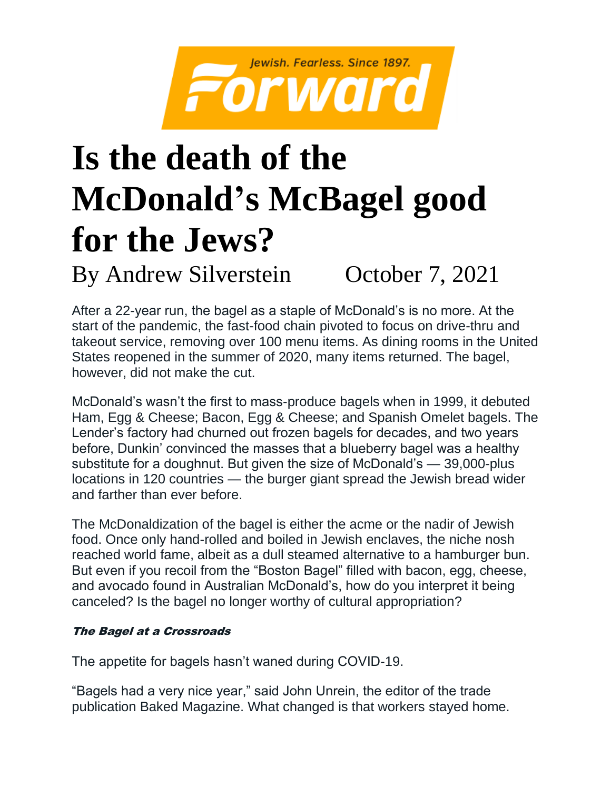

# **Is the death of the McDonald's McBagel good for the Jews?**

By Andrew Silverstein October 7, 2021

After a 22-year run, the bagel as a staple of McDonald's is no more. At the start of the pandemic, the fast-food chain pivoted to focus on drive-thru and takeout service, removing over 100 menu items. As dining rooms in the United States reopened in the summer of 2020, many items returned. The bagel, however, did not make the cut.

McDonald's wasn't the first to mass-produce bagels when in 1999, it debuted Ham, Egg & Cheese; Bacon, Egg & Cheese; and Spanish Omelet bagels. The Lender's factory had churned out frozen bagels for decades, and two years before, Dunkin' convinced the masses that a blueberry bagel was a healthy substitute for a doughnut. But given the size of McDonald's — 39,000-plus locations in 120 countries — the burger giant spread the Jewish bread wider and farther than ever before.

The McDonaldization of the bagel is either the acme or the nadir of Jewish food. Once only hand-rolled and boiled in Jewish enclaves, the niche nosh reached world fame, albeit as a dull steamed alternative to a hamburger bun. But even if you recoil from the "Boston Bagel" filled with bacon, egg, cheese, and avocado found in Australian McDonald's, how do you interpret it being canceled? Is the bagel no longer worthy of cultural appropriation?

## The Bagel at a Crossroads

The appetite for bagels hasn't waned during COVID-19.

"Bagels had a very nice year," said John Unrein, the editor of the trade publication Baked Magazine. What changed is that workers stayed home.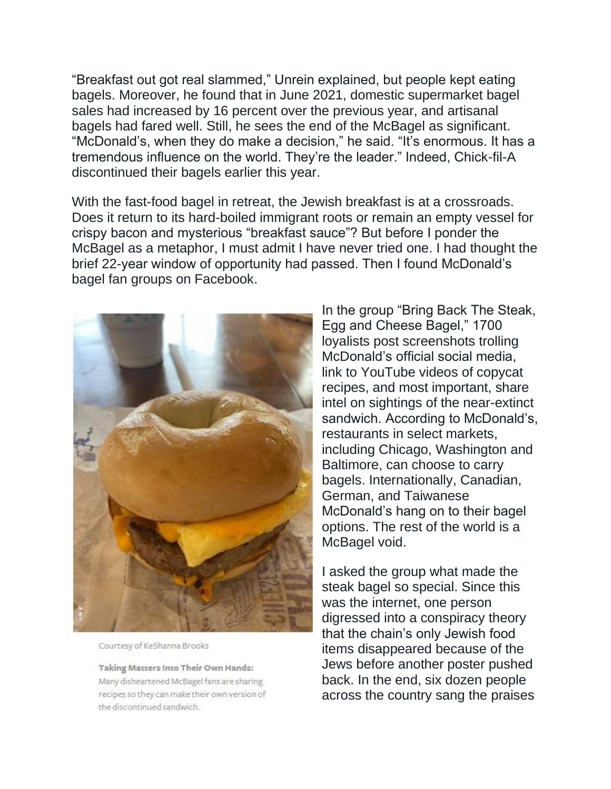"Breakfast out got real slammed," Unrein explained, but people kept eating bagels. Moreover, he found that in June 2021, domestic supermarket bagel sales had increased by 16 percent over the previous year, and artisanal bagels had fared well. Still, he sees the end of the McBagel as significant. "McDonald's, when they do make a decision," he said. "It's enormous. It has a tremendous influence on the world. They're the leader." Indeed, Chick-fil-A discontinued their bagels earlier this year.

With the fast-food bagel in retreat, the Jewish breakfast is at a crossroads. Does it return to its hard-boiled immigrant roots or remain an empty vessel for crispy bacon and mysterious "breakfast sauce"? But before I ponder the McBagel as a metaphor, I must admit I have never tried one. I had thought the brief 22-year window of opportunity had passed. Then I found McDonald's bagel fan groups on Facebook.



Courtesy of KeShanna Brooks

Taking Matters Into Their Own Hands: Many disheartened McBagel fans are sharing recipes so they can make their own version of the discontinued sandwich.

In the group "Bring Back The Steak, Egg and Cheese Bagel," 1700 loyalists post screenshots trolling McDonald's official social media, link to YouTube videos of copycat recipes, and most important, share intel on sightings of the near-extinct sandwich. According to McDonald's, restaurants in select markets, including Chicago, Washington and Baltimore, can choose to carry bagels. Internationally, Canadian, German, and Taiwanese McDonald's hang on to their bagel options. The rest of the world is a McBagel void.

I asked the group what made the steak bagel so special. Since this was the internet, one person digressed into a conspiracy theory that the chain's only Jewish food items disappeared because of the Jews before another poster pushed back. In the end, six dozen people across the country sang the praises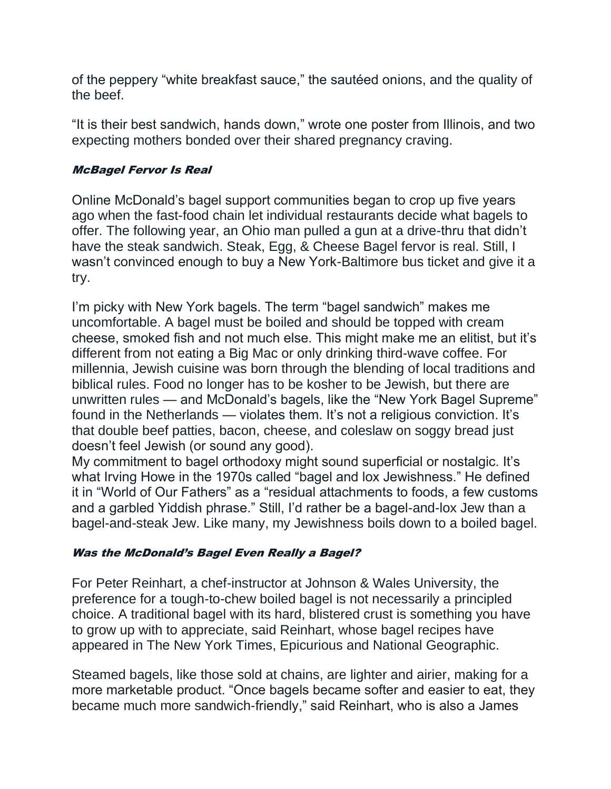of the peppery "white breakfast sauce," the sautéed onions, and the quality of the beef.

"It is their best sandwich, hands down," wrote one poster from Illinois, and two expecting mothers bonded over their shared pregnancy craving.

### McBagel Fervor Is Real

Online McDonald's bagel support communities began to crop up five years ago when the fast-food chain let individual restaurants decide what bagels to offer. The following year, an Ohio man pulled a gun at a drive-thru that didn't have the steak sandwich. Steak, Egg, & Cheese Bagel fervor is real. Still, I wasn't convinced enough to buy a New York-Baltimore bus ticket and give it a try.

I'm picky with New York bagels. The term "bagel sandwich" makes me uncomfortable. A bagel must be boiled and should be topped with cream cheese, smoked fish and not much else. This might make me an elitist, but it's different from not eating a Big Mac or only drinking third-wave coffee. For millennia, Jewish cuisine was born through the blending of local traditions and biblical rules. Food no longer has to be kosher to be Jewish, but there are unwritten rules — and McDonald's bagels, like the "New York Bagel Supreme" found in the Netherlands — violates them. It's not a religious conviction. It's that double beef patties, bacon, cheese, and coleslaw on soggy bread just doesn't feel Jewish (or sound any good).

My commitment to bagel orthodoxy might sound superficial or nostalgic. It's what Irving Howe in the 1970s called "bagel and lox Jewishness." He defined it in "World of Our Fathers" as a "residual attachments to foods, a few customs and a garbled Yiddish phrase." Still, I'd rather be a bagel-and-lox Jew than a bagel-and-steak Jew. Like many, my Jewishness boils down to a boiled bagel.

## Was the McDonald's Bagel Even Really a Bagel?

For Peter Reinhart, a chef-instructor at Johnson & Wales University, the preference for a tough-to-chew boiled bagel is not necessarily a principled choice. A traditional bagel with its hard, blistered crust is something you have to grow up with to appreciate, said Reinhart, whose bagel recipes have appeared in The New York Times, Epicurious and National Geographic.

Steamed bagels, like those sold at chains, are lighter and airier, making for a more marketable product. "Once bagels became softer and easier to eat, they became much more sandwich-friendly," said Reinhart, who is also a James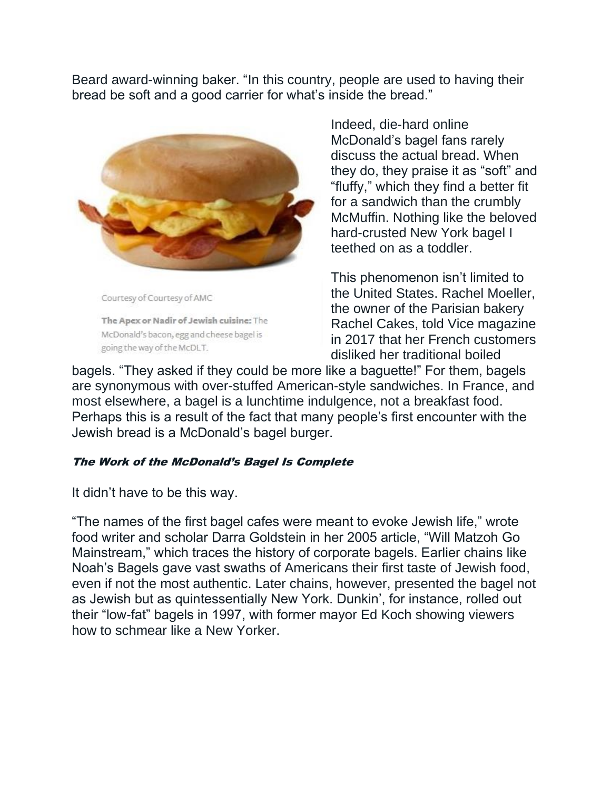Beard award-winning baker. "In this country, people are used to having their bread be soft and a good carrier for what's inside the bread."



Courtesy of Courtesy of AMC

The Apex or Nadir of Jewish cuisine: The McDonald's bacon, egg and cheese bagel is going the way of the McDLT.

Indeed, die-hard online McDonald's bagel fans rarely discuss the actual bread. When they do, they praise it as "soft" and "fluffy," which they find a better fit for a sandwich than the crumbly McMuffin. Nothing like the beloved hard-crusted New York bagel I teethed on as a toddler.

This phenomenon isn't limited to the United States. Rachel Moeller, the owner of the Parisian bakery Rachel Cakes, told Vice magazine in 2017 that her French customers disliked her traditional boiled

bagels. "They asked if they could be more like a baguette!" For them, bagels are synonymous with over-stuffed American-style sandwiches. In France, and most elsewhere, a bagel is a lunchtime indulgence, not a breakfast food. Perhaps this is a result of the fact that many people's first encounter with the Jewish bread is a McDonald's bagel burger.

#### The Work of the McDonald's Bagel Is Complete

It didn't have to be this way.

"The names of the first bagel cafes were meant to evoke Jewish life," wrote food writer and scholar Darra Goldstein in her 2005 article, "Will Matzoh Go Mainstream," which traces the history of corporate bagels. Earlier chains like Noah's Bagels gave vast swaths of Americans their first taste of Jewish food, even if not the most authentic. Later chains, however, presented the bagel not as Jewish but as quintessentially New York. Dunkin', for instance, rolled out their "low-fat" bagels in 1997, with former mayor Ed Koch showing viewers how to schmear like a New Yorker.